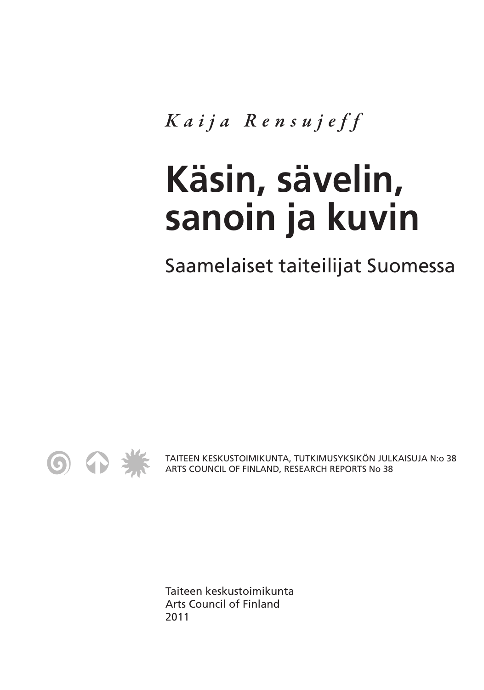*Kaija Rensujef f*

# **Käsin, sävelin, sanoin ja kuvin**

Saamelaiset taiteilijat Suomessa



TAITEEN KESKUSTOIMIKUNTA, TUTKIMUSYKSIKÖN JULKAISUJA N:o 38 ARTS COUNCIL OF FINLAND, RESEARCH REPORTS No 38

Taiteen keskustoimikunta Arts Council of Finland 2011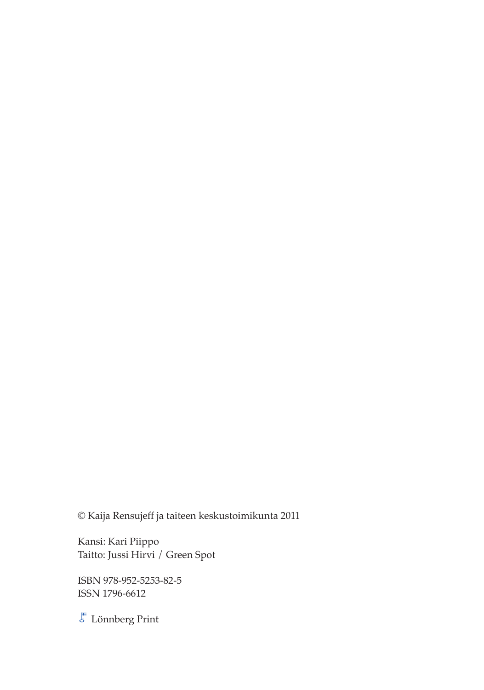© Kaija Rensujeff ja taiteen keskustoimikunta 2011

Kansi: Kari Piippo Taitto: Jussi Hirvi / Green Spot

ISBN 978-952-5253-82-5 ISSN 1796-6612

 $\overline{\mathcal{E}}$ Lönnberg Print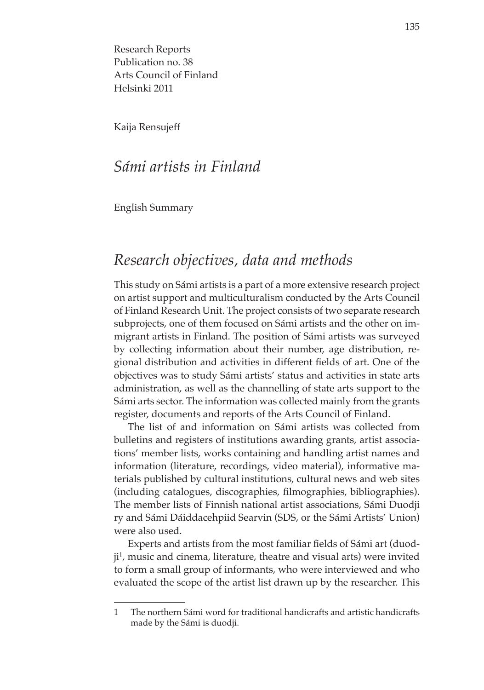Research Reports Publication no. 38 Arts Council of Finland Helsinki 2011

Kaija Rensujeff

#### *Sámi artists in Finland*

English Summary

### *Research objectives, data and methods*

This study on Sámi artists is a part of a more extensive research project on artist support and multiculturalism conducted by the Arts Council of Finland Research Unit. The project consists of two separate research subprojects, one of them focused on Sámi artists and the other on immigrant artists in Finland. The position of Sámi artists was surveyed by collecting information about their number, age distribution, regional distribution and activities in different fields of art. One of the objectives was to study Sámi artists' status and activities in state arts administration, as well as the channelling of state arts support to the Sámi arts sector. The information was collected mainly from the grants register, documents and reports of the Arts Council of Finland.

The list of and information on Sámi artists was collected from bulletins and registers of institutions awarding grants, artist associations' member lists, works containing and handling artist names and information (literature, recordings, video material), informative materials published by cultural institutions, cultural news and web sites (including catalogues, discographies, filmographies, bibliographies). The member lists of Finnish national artist associations, Sámi Duodji ry and Sámi Dáiddacehpiid Searvin (SDS, or the Sámi Artists' Union) were also used.

Experts and artists from the most familiar fields of Sámi art (duodji<sup>1</sup>, music and cinema, literature, theatre and visual arts) were invited to form a small group of informants, who were interviewed and who evaluated the scope of the artist list drawn up by the researcher. This

<sup>1</sup> The northern Sámi word for traditional handicrafts and artistic handicrafts made by the Sámi is duodji.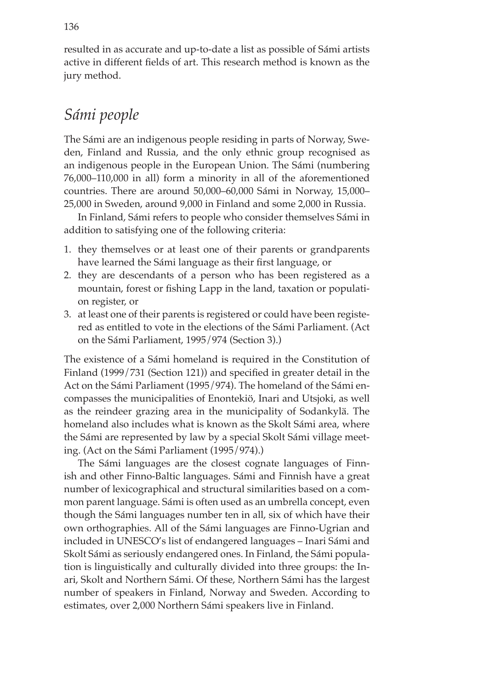resulted in as accurate and up-to-date a list as possible of Sámi artists active in different fields of art. This research method is known as the jury method.

## *Sámi people*

The Sámi are an indigenous people residing in parts of Norway, Sweden, Finland and Russia, and the only ethnic group recognised as an indigenous people in the European Union. The Sámi (numbering 76,000–110,000 in all) form a minority in all of the aforementioned countries. There are around 50,000–60,000 Sámi in Norway, 15,000– 25,000 in Sweden, around 9,000 in Finland and some 2,000 in Russia.

In Finland, Sámi refers to people who consider themselves Sámi in addition to satisfying one of the following criteria:

- 1. they themselves or at least one of their parents or grandparents have learned the Sámi language as their first language, or
- 2. they are descendants of a person who has been registered as a mountain, forest or fishing Lapp in the land, taxation or population register, or
- 3. at least one of their parents is registered or could have been registered as entitled to vote in the elections of the Sámi Parliament. (Act on the Sámi Parliament, 1995/974 (Section 3).)

The existence of a Sámi homeland is required in the Constitution of Finland (1999/731 (Section 121)) and specified in greater detail in the Act on the Sámi Parliament (1995/974). The homeland of the Sámi encompasses the municipalities of Enontekiö, Inari and Utsjoki, as well as the reindeer grazing area in the municipality of Sodankylä. The homeland also includes what is known as the Skolt Sámi area, where the Sámi are represented by law by a special Skolt Sámi village meeting. (Act on the Sámi Parliament (1995/974).)

The Sámi languages are the closest cognate languages of Finnish and other Finno-Baltic languages. Sámi and Finnish have a great number of lexicographical and structural similarities based on a common parent language. Sámi is often used as an umbrella concept, even though the Sámi languages number ten in all, six of which have their own orthographies. All of the Sámi languages are Finno-Ugrian and included in UNESCO's list of endangered languages – Inari Sámi and Skolt Sámi as seriously endangered ones. In Finland, the Sámi population is linguistically and culturally divided into three groups: the Inari, Skolt and Northern Sámi. Of these, Northern Sámi has the largest number of speakers in Finland, Norway and Sweden. According to estimates, over 2,000 Northern Sámi speakers live in Finland.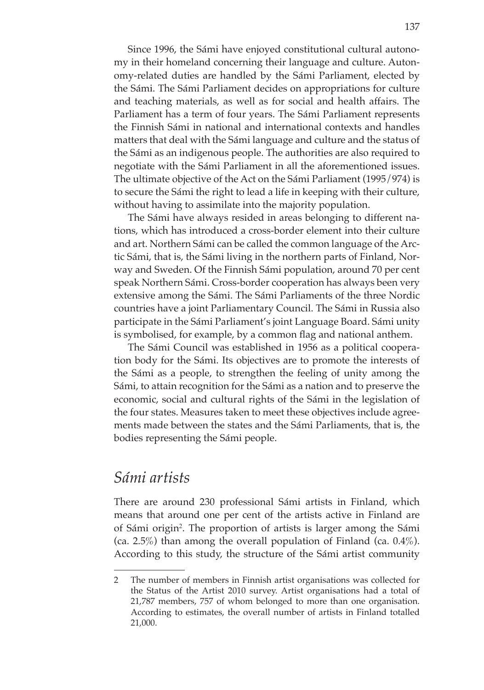Since 1996, the Sámi have enjoyed constitutional cultural autonomy in their homeland concerning their language and culture. Autonomy-related duties are handled by the Sámi Parliament, elected by the Sámi. The Sámi Parliament decides on appropriations for culture and teaching materials, as well as for social and health affairs. The Parliament has a term of four years. The Sámi Parliament represents the Finnish Sámi in national and international contexts and handles matters that deal with the Sámi language and culture and the status of the Sámi as an indigenous people. The authorities are also required to negotiate with the Sámi Parliament in all the aforementioned issues. The ultimate objective of the Act on the Sámi Parliament (1995/974) is to secure the Sámi the right to lead a life in keeping with their culture, without having to assimilate into the majority population.

The Sámi have always resided in areas belonging to different nations, which has introduced a cross-border element into their culture and art. Northern Sámi can be called the common language of the Arctic Sámi, that is, the Sámi living in the northern parts of Finland, Norway and Sweden. Of the Finnish Sámi population, around 70 per cent speak Northern Sámi. Cross-border cooperation has always been very extensive among the Sámi. The Sámi Parliaments of the three Nordic countries have a joint Parliamentary Council. The Sámi in Russia also participate in the Sámi Parliament's joint Language Board. Sámi unity is symbolised, for example, by a common flag and national anthem.

The Sámi Council was established in 1956 as a political cooperation body for the Sámi. Its objectives are to promote the interests of the Sámi as a people, to strengthen the feeling of unity among the Sámi, to attain recognition for the Sámi as a nation and to preserve the economic, social and cultural rights of the Sámi in the legislation of the four states. Measures taken to meet these objectives include agreements made between the states and the Sámi Parliaments, that is, the bodies representing the Sámi people.

## *Sámi artists*

There are around 230 professional Sámi artists in Finland, which means that around one per cent of the artists active in Finland are of Sámi origin<sup>2</sup>. The proportion of artists is larger among the Sámi (ca. 2.5%) than among the overall population of Finland (ca.  $0.4\%$ ). According to this study, the structure of the Sámi artist community

<sup>2</sup> The number of members in Finnish artist organisations was collected for the Status of the Artist 2010 survey. Artist organisations had a total of 21,787 members, 757 of whom belonged to more than one organisation. According to estimates, the overall number of artists in Finland totalled 21,000.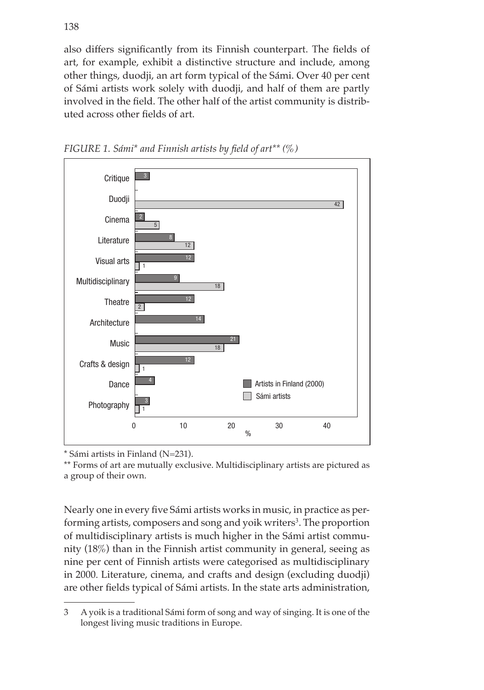also differs significantly from its Finnish counterpart. The fields of art, for example, exhibit a distinctive structure and include, among other things, duodji, an art form typical of the Sámi. Over 40 per cent of Sámi artists work solely with duodji, and half of them are partly involved in the field. The other half of the artist community is distributed across other fields of art.





\* Sámi artists in Finland (N=231).

\*\* Forms of art are mutually exclusive. Multidisciplinary artists are pictured as a group of their own.

Nearly one in every five Sámi artists works in music, in practice as performing artists, composers and song and yoik writers<sup>3</sup>. The proportion of multidisciplinary artists is much higher in the Sámi artist community (18%) than in the Finnish artist community in general, seeing as nine per cent of Finnish artists were categorised as multidisciplinary in 2000. Literature, cinema, and crafts and design (excluding duodji) are other fields typical of Sámi artists. In the state arts administration,

<sup>3</sup> A yoik is a traditional Sámi form of song and way of singing. It is one of the longest living music traditions in Europe.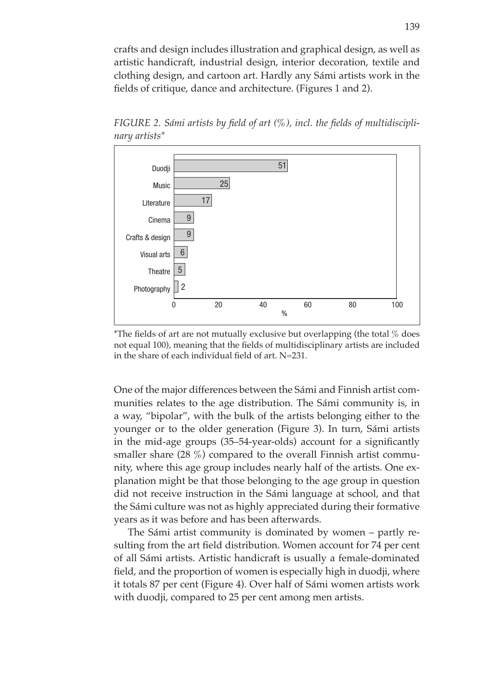crafts and design includes illustration and graphical design, as well as artistic handicraft, industrial design, interior decoration, textile and clothing design, and cartoon art. Hardly any Sámi artists work in the fields of critique, dance and architecture. (Figures 1 and 2).

*FIGURE 2. Sámi artists by field of art (%), incl. the fields of multidisciplinary artists\**



\*The fields of art are not mutually exclusive but overlapping (the total  $\%$  does not equal 100), meaning that the fields of multidisciplinary artists are included in the share of each individual field of art. N=231.

One of the major differences between the Sámi and Finnish artist communities relates to the age distribution. The Sámi community is, in a way, "bipolar", with the bulk of the artists belonging either to the younger or to the older generation (Figure 3). In turn, Sámi artists in the mid-age groups (35–54-year-olds) account for a significantly smaller share  $(28\%)$  compared to the overall Finnish artist community, where this age group includes nearly half of the artists. One explanation might be that those belonging to the age group in question did not receive instruction in the Sámi language at school, and that the Sámi culture was not as highly appreciated during their formative years as it was before and has been afterwards.

The Sámi artist community is dominated by women – partly resulting from the art field distribution. Women account for 74 per cent of all Sámi artists. Artistic handicraft is usually a female-dominated field, and the proportion of women is especially high in duodji, where it totals 87 per cent (Figure 4). Over half of Sámi women artists work with duodji, compared to 25 per cent among men artists.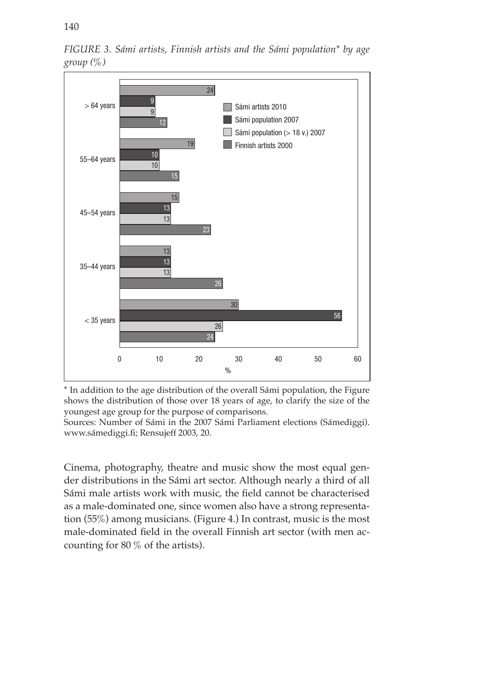

*FIGURE 3. Sámi artists, Finnish artists and the Sámi population\* by age group (%)*

\* In addition to the age distribution of the overall Sámi population, the Figure shows the distribution of those over 18 years of age, to clarify the size of the youngest age group for the purpose of comparisons.

Sources: Number of Sámi in the 2007 Sámi Parliament elections (Sámediggi). www.sámediggi.fi; Rensujeff 2003, 20.

Cinema, photography, theatre and music show the most equal gender distributions in the Sámi art sector. Although nearly a third of all Sámi male artists work with music, the field cannot be characterised as a male-dominated one, since women also have a strong representation (55%) among musicians. (Figure 4.) In contrast, music is the most male-dominated field in the overall Finnish art sector (with men accounting for 80 % of the artists).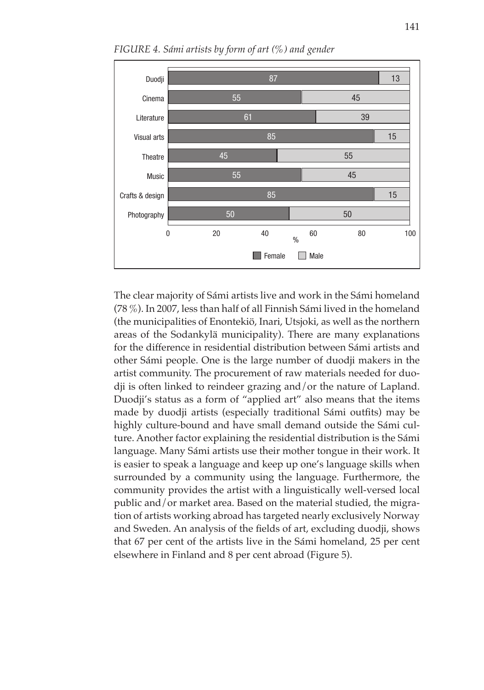

*FIGURE 4. Sámi artists by form of art (%) and gender*

The clear majority of Sámi artists live and work in the Sámi homeland (78 %). In 2007, less than half of all Finnish Sámi lived in the homeland (the municipalities of Enontekiö, Inari, Utsjoki, as well as the northern areas of the Sodankylä municipality). There are many explanations for the difference in residential distribution between Sámi artists and other Sámi people. One is the large number of duodji makers in the artist community. The procurement of raw materials needed for duodji is often linked to reindeer grazing and/or the nature of Lapland. Duodji's status as a form of "applied art" also means that the items made by duodji artists (especially traditional Sámi outfits) may be highly culture-bound and have small demand outside the Sámi culture. Another factor explaining the residential distribution is the Sámi language. Many Sámi artists use their mother tongue in their work. It is easier to speak a language and keep up one's language skills when surrounded by a community using the language. Furthermore, the community provides the artist with a linguistically well-versed local public and/or market area. Based on the material studied, the migration of artists working abroad has targeted nearly exclusively Norway and Sweden. An analysis of the fields of art, excluding duodji, shows that 67 per cent of the artists live in the Sámi homeland, 25 per cent elsewhere in Finland and 8 per cent abroad (Figure 5).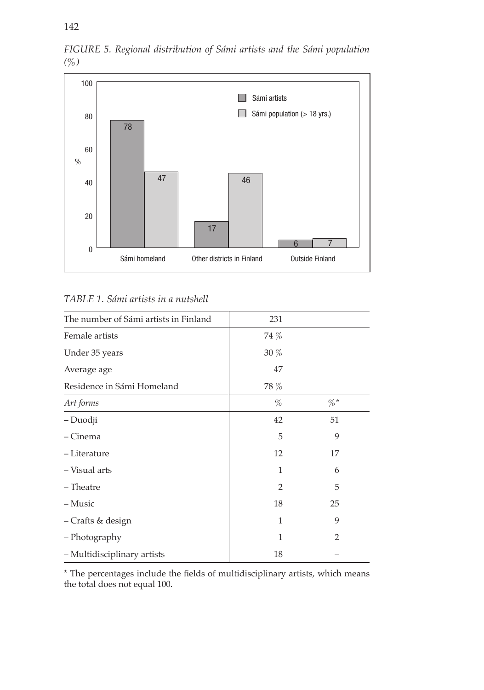

*FIGURE 5. Regional distribution of Sámi artists and the Sámi population (%)*

*TABLE 1. Sámi artists in a nutshell*

| The number of Sámi artists in Finland | 231            |                |  |
|---------------------------------------|----------------|----------------|--|
| Female artists                        | 74 %           |                |  |
| Under 35 years                        | $30\%$         |                |  |
| Average age                           | 47             |                |  |
| Residence in Sámi Homeland            | 78 %           |                |  |
| Art forms                             | $\%$           | $\% *$         |  |
| - Duodji                              | 42             | 51             |  |
| – Cinema                              | 5              | 9              |  |
| - Literature                          | 12             | 17             |  |
| - Visual arts                         | 1              | 6              |  |
| - Theatre                             | $\overline{2}$ | 5              |  |
| – Music                               | 18             | 25             |  |
| - Crafts & design                     | 1              | 9              |  |
| - Photography                         | $\mathbf{1}$   | $\overline{2}$ |  |
| - Multidisciplinary artists           | 18             |                |  |
|                                       |                |                |  |

\* The percentages include the fields of multidisciplinary artists, which means the total does not equal 100.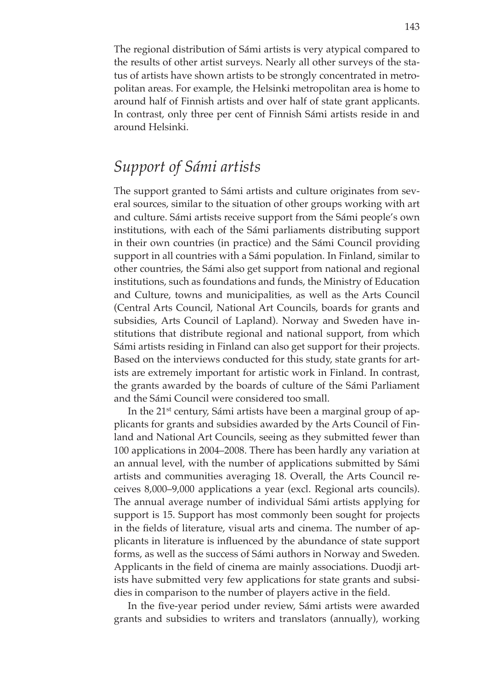The regional distribution of Sámi artists is very atypical compared to the results of other artist surveys. Nearly all other surveys of the status of artists have shown artists to be strongly concentrated in metropolitan areas. For example, the Helsinki metropolitan area is home to around half of Finnish artists and over half of state grant applicants. In contrast, only three per cent of Finnish Sámi artists reside in and around Helsinki.

## *Support of Sámi artists*

The support granted to Sámi artists and culture originates from several sources, similar to the situation of other groups working with art and culture. Sámi artists receive support from the Sámi people's own institutions, with each of the Sámi parliaments distributing support in their own countries (in practice) and the Sámi Council providing support in all countries with a Sámi population. In Finland, similar to other countries, the Sámi also get support from national and regional institutions, such as foundations and funds, the Ministry of Education and Culture, towns and municipalities, as well as the Arts Council (Central Arts Council, National Art Councils, boards for grants and subsidies, Arts Council of Lapland). Norway and Sweden have institutions that distribute regional and national support, from which Sámi artists residing in Finland can also get support for their projects. Based on the interviews conducted for this study, state grants for artists are extremely important for artistic work in Finland. In contrast, the grants awarded by the boards of culture of the Sámi Parliament and the Sámi Council were considered too small.

In the 21st century, Sámi artists have been a marginal group of applicants for grants and subsidies awarded by the Arts Council of Finland and National Art Councils, seeing as they submitted fewer than 100 applications in 2004–2008. There has been hardly any variation at an annual level, with the number of applications submitted by Sámi artists and communities averaging 18. Overall, the Arts Council receives 8,000–9,000 applications a year (excl. Regional arts councils). The annual average number of individual Sámi artists applying for support is 15. Support has most commonly been sought for projects in the fields of literature, visual arts and cinema. The number of applicants in literature is influenced by the abundance of state support forms, as well as the success of Sámi authors in Norway and Sweden. Applicants in the field of cinema are mainly associations. Duodji artists have submitted very few applications for state grants and subsidies in comparison to the number of players active in the field.

In the five-year period under review, Sámi artists were awarded grants and subsidies to writers and translators (annually), working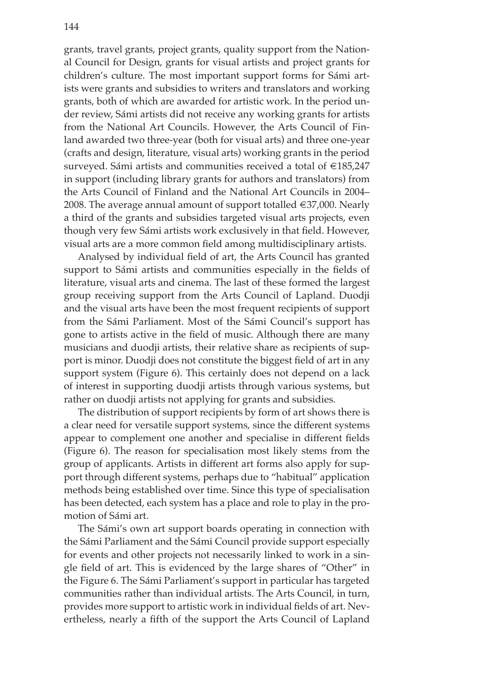grants, travel grants, project grants, quality support from the National Council for Design, grants for visual artists and project grants for children's culture. The most important support forms for Sámi artists were grants and subsidies to writers and translators and working grants, both of which are awarded for artistic work. In the period under review, Sámi artists did not receive any working grants for artists from the National Art Councils. However, the Arts Council of Finland awarded two three-year (both for visual arts) and three one-year (crafts and design, literature, visual arts) working grants in the period surveyed. Sámi artists and communities received a total of €185,247 in support (including library grants for authors and translators) from the Arts Council of Finland and the National Art Councils in 2004– 2008. The average annual amount of support totalled €37,000. Nearly a third of the grants and subsidies targeted visual arts projects, even though very few Sámi artists work exclusively in that field. However, visual arts are a more common field among multidisciplinary artists.

Analysed by individual field of art, the Arts Council has granted support to Sámi artists and communities especially in the fields of literature, visual arts and cinema. The last of these formed the largest group receiving support from the Arts Council of Lapland. Duodji and the visual arts have been the most frequent recipients of support from the Sámi Parliament. Most of the Sámi Council's support has gone to artists active in the field of music. Although there are many musicians and duodji artists, their relative share as recipients of support is minor. Duodji does not constitute the biggest field of art in any support system (Figure 6). This certainly does not depend on a lack of interest in supporting duodji artists through various systems, but rather on duodji artists not applying for grants and subsidies.

The distribution of support recipients by form of art shows there is a clear need for versatile support systems, since the different systems appear to complement one another and specialise in different fields (Figure 6). The reason for specialisation most likely stems from the group of applicants. Artists in different art forms also apply for support through different systems, perhaps due to "habitual" application methods being established over time. Since this type of specialisation has been detected, each system has a place and role to play in the promotion of Sámi art.

The Sámi's own art support boards operating in connection with the Sámi Parliament and the Sámi Council provide support especially for events and other projects not necessarily linked to work in a single field of art. This is evidenced by the large shares of "Other" in the Figure 6. The Sámi Parliament's support in particular has targeted communities rather than individual artists. The Arts Council, in turn, provides more support to artistic work in individual fields of art. Nevertheless, nearly a fifth of the support the Arts Council of Lapland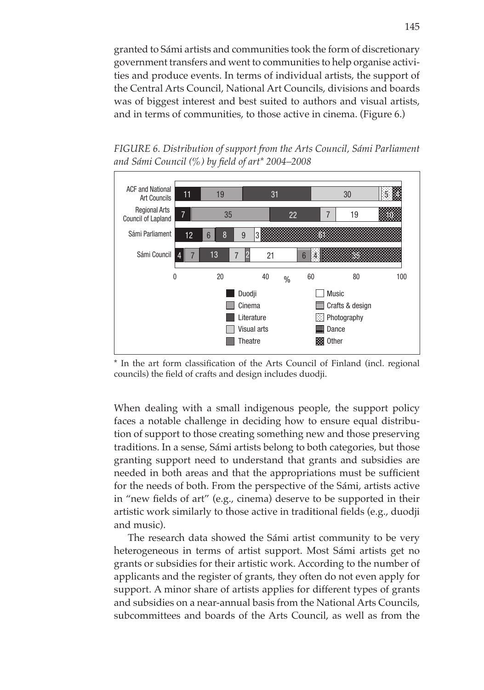granted to Sámi artists and communities took the form of discretionary government transfers and went to communities to help organise activities and produce events. In terms of individual artists, the support of the Central Arts Council, National Art Councils, divisions and boards was of biggest interest and best suited to authors and visual artists, and in terms of communities, to those active in cinema. (Figure 6.)

*FIGURE 6. Distribution of support from the Arts Council, Sámi Parliament and Sámi Council (%) by field of art\* 2004–2008* 



\* In the art form classification of the Arts Council of Finland (incl. regional councils) the field of crafts and design includes duodji.

When dealing with a small indigenous people, the support policy faces a notable challenge in deciding how to ensure equal distribution of support to those creating something new and those preserving traditions. In a sense, Sámi artists belong to both categories, but those granting support need to understand that grants and subsidies are needed in both areas and that the appropriations must be sufficient for the needs of both. From the perspective of the Sámi, artists active in "new fields of art" (e.g., cinema) deserve to be supported in their artistic work similarly to those active in traditional fields (e.g., duodji and music).

The research data showed the Sámi artist community to be very heterogeneous in terms of artist support. Most Sámi artists get no grants or subsidies for their artistic work. According to the number of applicants and the register of grants, they often do not even apply for support. A minor share of artists applies for different types of grants and subsidies on a near-annual basis from the National Arts Councils, subcommittees and boards of the Arts Council, as well as from the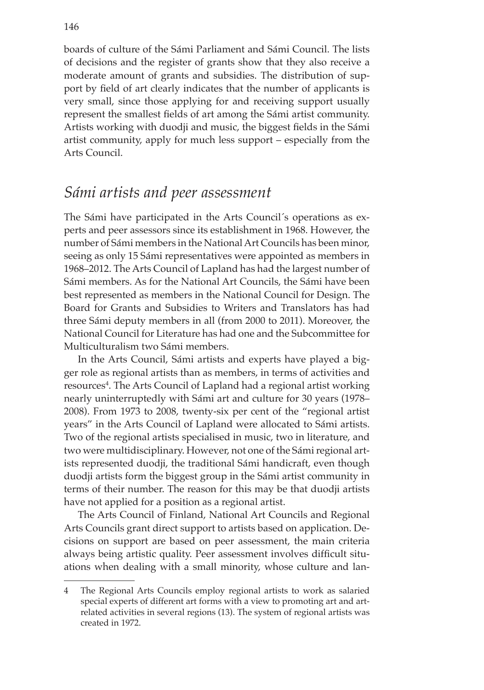boards of culture of the Sámi Parliament and Sámi Council. The lists of decisions and the register of grants show that they also receive a moderate amount of grants and subsidies. The distribution of support by field of art clearly indicates that the number of applicants is very small, since those applying for and receiving support usually represent the smallest fields of art among the Sámi artist community. Artists working with duodji and music, the biggest fields in the Sámi artist community, apply for much less support – especially from the Arts Council.

#### *Sámi artists and peer assessment*

The Sámi have participated in the Arts Council´s operations as experts and peer assessors since its establishment in 1968. However, the number of Sámi members in the National Art Councils has been minor, seeing as only 15 Sámi representatives were appointed as members in 1968–2012. The Arts Council of Lapland has had the largest number of Sámi members. As for the National Art Councils, the Sámi have been best represented as members in the National Council for Design. The Board for Grants and Subsidies to Writers and Translators has had three Sámi deputy members in all (from 2000 to 2011). Moreover, the National Council for Literature has had one and the Subcommittee for Multiculturalism two Sámi members.

In the Arts Council, Sámi artists and experts have played a bigger role as regional artists than as members, in terms of activities and resources<sup>4</sup>. The Arts Council of Lapland had a regional artist working nearly uninterruptedly with Sámi art and culture for 30 years (1978– 2008). From 1973 to 2008, twenty-six per cent of the "regional artist years" in the Arts Council of Lapland were allocated to Sámi artists. Two of the regional artists specialised in music, two in literature, and two were multidisciplinary. However, not one of the Sámi regional artists represented duodji, the traditional Sámi handicraft, even though duodji artists form the biggest group in the Sámi artist community in terms of their number. The reason for this may be that duodji artists have not applied for a position as a regional artist.

The Arts Council of Finland, National Art Councils and Regional Arts Councils grant direct support to artists based on application. Decisions on support are based on peer assessment, the main criteria always being artistic quality. Peer assessment involves difficult situations when dealing with a small minority, whose culture and lan-

<sup>4</sup> The Regional Arts Councils employ regional artists to work as salaried special experts of different art forms with a view to promoting art and artrelated activities in several regions (13). The system of regional artists was created in 1972.